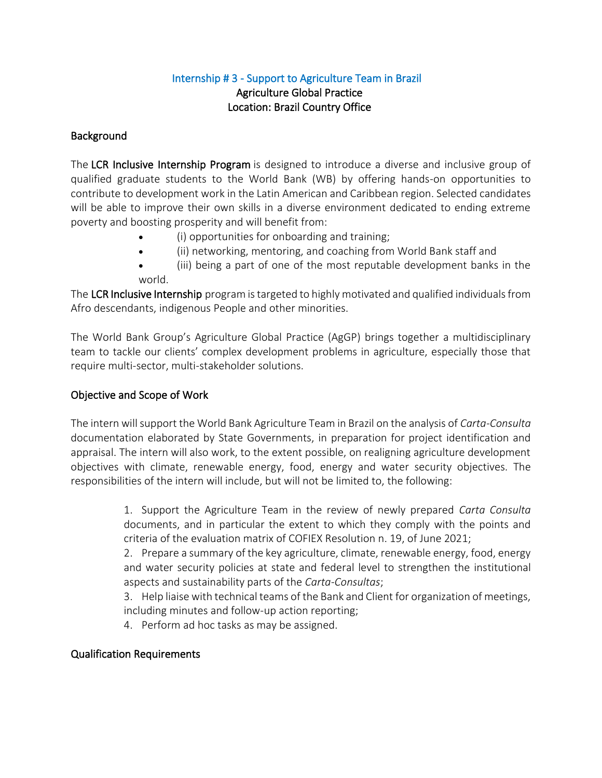# Internship # 3 - Support to Agriculture Team in Brazil Agriculture Global Practice Location: Brazil Country Office

### **Background**

The LCR Inclusive Internship Program is designed to introduce a diverse and inclusive group of qualified graduate students to the World Bank (WB) by offering hands-on opportunities to contribute to development work in the Latin American and Caribbean region. Selected candidates will be able to improve their own skills in a diverse environment dedicated to ending extreme poverty and boosting prosperity and will benefit from:

- (i) opportunities for onboarding and training;
- (ii) networking, mentoring, and coaching from World Bank staff and
- (iii) being a part of one of the most reputable development banks in the world.

The LCR Inclusive Internship program is targeted to highly motivated and qualified individuals from Afro descendants, indigenous People and other minorities.

The World Bank Group's Agriculture Global Practice (AgGP) brings together a multidisciplinary team to tackle our clients' complex development problems in agriculture, especially those that require multi-sector, multi-stakeholder solutions.

# Objective and Scope of Work

The intern will support the World Bank Agriculture Team in Brazil on the analysis of *Carta-Consulta* documentation elaborated by State Governments, in preparation for project identification and appraisal. The intern will also work, to the extent possible, on realigning agriculture development objectives with climate, renewable energy, food, energy and water security objectives. The responsibilities of the intern will include, but will not be limited to, the following:

> 1. Support the Agriculture Team in the review of newly prepared *Carta Consulta* documents, and in particular the extent to which they comply with the points and criteria of the evaluation matrix of COFIEX Resolution n. 19, of June 2021;

> 2. Prepare a summary of the key agriculture, climate, renewable energy, food, energy and water security policies at state and federal level to strengthen the institutional aspects and sustainability parts of the *Carta-Consultas*;

> 3. Help liaise with technical teams of the Bank and Client for organization of meetings, including minutes and follow-up action reporting;

4. Perform ad hoc tasks as may be assigned.

### Qualification Requirements